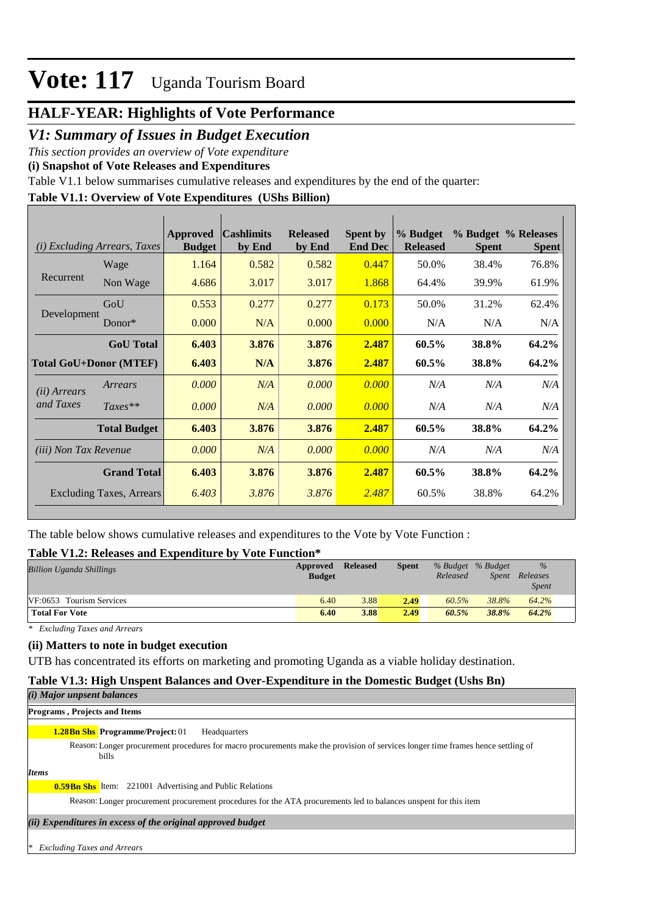### **HALF-YEAR: Highlights of Vote Performance**

### *V1: Summary of Issues in Budget Execution*

*This section provides an overview of Vote expenditure* 

**(i) Snapshot of Vote Releases and Expenditures**

Table V1.1 below summarises cumulative releases and expenditures by the end of the quarter:

### **Table V1.1: Overview of Vote Expenditures (UShs Billion)**

| ( <i>i</i> ) Excluding Arrears, Taxes |                               | Approved<br><b>Budget</b> | <b>Cashlimits</b><br>by End | <b>Released</b><br>by End | <b>Spent by</b><br><b>End Dec</b> | % Budget<br><b>Released</b> | <b>Spent</b> | % Budget % Releases<br><b>Spent</b> |
|---------------------------------------|-------------------------------|---------------------------|-----------------------------|---------------------------|-----------------------------------|-----------------------------|--------------|-------------------------------------|
|                                       | Wage                          | 1.164                     | 0.582                       | 0.582                     | 0.447                             | 50.0%                       | 38.4%        | 76.8%                               |
| Recurrent                             | Non Wage                      | 4.686                     | 3.017                       | 3.017                     | 1.868                             | 64.4%                       | 39.9%        | 61.9%                               |
|                                       | GoU                           | 0.553                     | 0.277                       | 0.277                     | 0.173                             | 50.0%                       | 31.2%        | 62.4%                               |
| Development                           | Donor $*$                     | 0.000                     | N/A                         | 0.000                     | 0.000                             | N/A                         | N/A          | N/A                                 |
|                                       | <b>GoU</b> Total              | 6.403                     | 3.876                       | 3.876                     | 2.487                             | 60.5%                       | 38.8%        | 64.2%                               |
|                                       | <b>Total GoU+Donor (MTEF)</b> | 6.403                     | N/A                         | 3.876                     | 2.487                             | 60.5%                       | 38.8%        | 64.2%                               |
| ( <i>ii</i> ) Arrears                 | Arrears                       | 0.000                     | N/A                         | 0.000                     | 0.000                             | N/A                         | N/A          | N/A                                 |
| and Taxes                             | $Taxes**$                     | 0.000                     | N/A                         | 0.000                     | 0.000                             | N/A                         | N/A          | N/A                                 |
|                                       | <b>Total Budget</b>           | 6.403                     | 3.876                       | 3.876                     | 2.487                             | 60.5%                       | 38.8%        | 64.2%                               |
| <i>(iii)</i> Non Tax Revenue          |                               | 0.000                     | N/A                         | 0.000                     | 0.000                             | N/A                         | N/A          | N/A                                 |
|                                       | <b>Grand Total</b>            | 6.403                     | 3.876                       | 3.876                     | 2.487                             | 60.5%                       | 38.8%        | 64.2%                               |
|                                       | Excluding Taxes, Arrears      | 6.403                     | 3.876                       | 3.876                     | 2.487                             | 60.5%                       | 38.8%        | 64.2%                               |

The table below shows cumulative releases and expenditures to the Vote by Vote Function :

### **Table V1.2: Releases and Expenditure by Vote Function\***

| <b>Billion Uganda Shillings</b> | Approved<br><b>Budget</b> | <b>Released</b> | <b>Spent</b> | % Budget % Budget<br>Released | Spent | $\%$<br>Releases<br><i>Spent</i> |
|---------------------------------|---------------------------|-----------------|--------------|-------------------------------|-------|----------------------------------|
| VF:0653 Tourism Services        | 6.40                      | 3.88            | 2.49         | 60.5%                         | 38.8% | 64.2%                            |
| <b>Total For Vote</b>           | 6.40                      | 3.88            | 2.49         | 60.5%                         | 38.8% | 64.2%                            |

*\* Excluding Taxes and Arrears*

### **(ii) Matters to note in budget execution**

UTB has concentrated its efforts on marketing and promoting Uganda as a viable holiday destination.

### **Table V1.3: High Unspent Balances and Over-Expenditure in the Domestic Budget (Ushs Bn)**

| (i) Major unpsent balances   |
|------------------------------|
| Programs, Projects and Items |

#### **1.28Bn Shs Programme/Project: 01** Headquarters

Reason: Longer procurement procedures for macro procurements make the provision of services longer time frames hence settling of bills

*Items*

**0.59Bn Shs** Item: 221001 Advertising and Public Relations

Reason: Longer procurement procurement procedures for the ATA procurements led to balances unspent for this item

#### *(ii) Expenditures in excess of the original approved budget*

*\* Excluding Taxes and Arrears*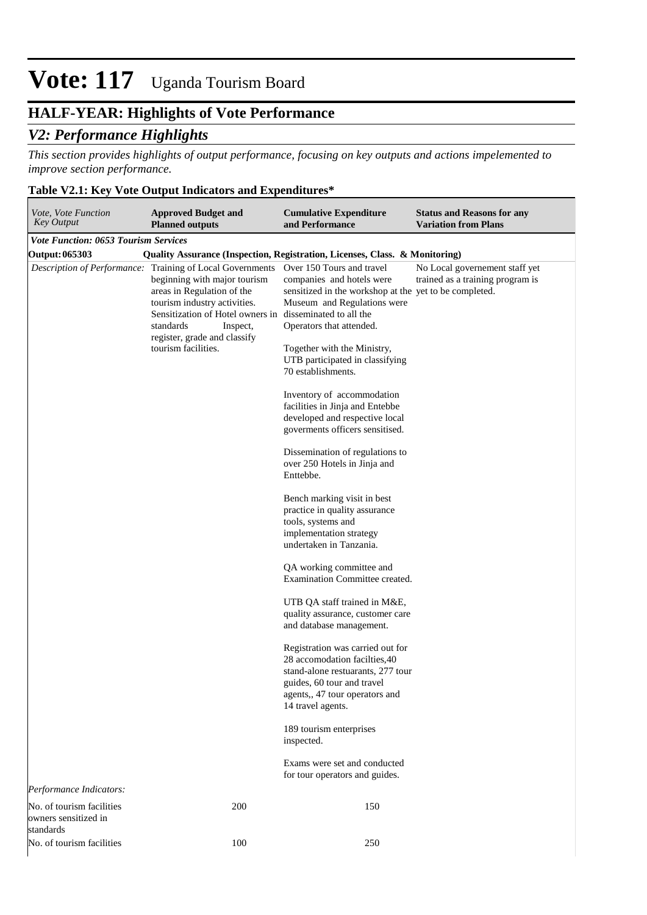## **HALF-YEAR: Highlights of Vote Performance**

## *V2: Performance Highlights*

*This section provides highlights of output performance, focusing on key outputs and actions impelemented to improve section performance.*

## **Table V2.1: Key Vote Output Indicators and Expenditures\***

| Vote, Vote Function<br>Key Output                              | <b>Approved Budget and</b><br><b>Planned outputs</b>                                                                                                                                                                                                                    | <b>Cumulative Expenditure</b><br>and Performance                                                                                                                                                                                                                    | <b>Status and Reasons for any</b><br><b>Variation from Plans</b>   |
|----------------------------------------------------------------|-------------------------------------------------------------------------------------------------------------------------------------------------------------------------------------------------------------------------------------------------------------------------|---------------------------------------------------------------------------------------------------------------------------------------------------------------------------------------------------------------------------------------------------------------------|--------------------------------------------------------------------|
| <b>Vote Function: 0653 Tourism Services</b>                    |                                                                                                                                                                                                                                                                         |                                                                                                                                                                                                                                                                     |                                                                    |
| Output: 065303                                                 |                                                                                                                                                                                                                                                                         | Quality Assurance (Inspection, Registration, Licenses, Class. & Monitoring)                                                                                                                                                                                         |                                                                    |
| Description of Performance:                                    | Training of Local Governments<br>beginning with major tourism<br>areas in Regulation of the<br>tourism industry activities.<br>Sensitization of Hotel owners in disseminated to all the<br>standards<br>Inspect,<br>register, grade and classify<br>tourism facilities. | Over 150 Tours and travel<br>companies and hotels were<br>sensitized in the workshop at the yet to be completed.<br>Museum and Regulations were<br>Operators that attended.<br>Together with the Ministry,<br>UTB participated in classifying<br>70 establishments. | No Local governement staff yet<br>trained as a training program is |
|                                                                |                                                                                                                                                                                                                                                                         | Inventory of accommodation<br>facilities in Jinja and Entebbe<br>developed and respective local<br>governments officers sensitised.                                                                                                                                 |                                                                    |
|                                                                |                                                                                                                                                                                                                                                                         | Dissemination of regulations to<br>over 250 Hotels in Jinja and<br>Enttebbe.                                                                                                                                                                                        |                                                                    |
|                                                                |                                                                                                                                                                                                                                                                         | Bench marking visit in best<br>practice in quality assurance<br>tools, systems and<br>implementation strategy<br>undertaken in Tanzania.                                                                                                                            |                                                                    |
|                                                                |                                                                                                                                                                                                                                                                         | QA working committee and<br>Examination Committee created.                                                                                                                                                                                                          |                                                                    |
|                                                                |                                                                                                                                                                                                                                                                         | UTB QA staff trained in M&E,<br>quality assurance, customer care<br>and database management.                                                                                                                                                                        |                                                                    |
|                                                                |                                                                                                                                                                                                                                                                         | Registration was carried out for<br>28 accomodation facilities, 40<br>stand-alone restuarants, 277 tour<br>guides, 60 tour and travel<br>agents,, 47 tour operators and<br>14 travel agents.                                                                        |                                                                    |
|                                                                |                                                                                                                                                                                                                                                                         | 189 tourism enterprises<br>inspected.                                                                                                                                                                                                                               |                                                                    |
|                                                                |                                                                                                                                                                                                                                                                         | Exams were set and conducted<br>for tour operators and guides.                                                                                                                                                                                                      |                                                                    |
| Performance Indicators:                                        |                                                                                                                                                                                                                                                                         |                                                                                                                                                                                                                                                                     |                                                                    |
| No. of tourism facilities<br>owners sensitized in<br>standards | 200                                                                                                                                                                                                                                                                     | 150                                                                                                                                                                                                                                                                 |                                                                    |
| No. of tourism facilities                                      | 100                                                                                                                                                                                                                                                                     | 250                                                                                                                                                                                                                                                                 |                                                                    |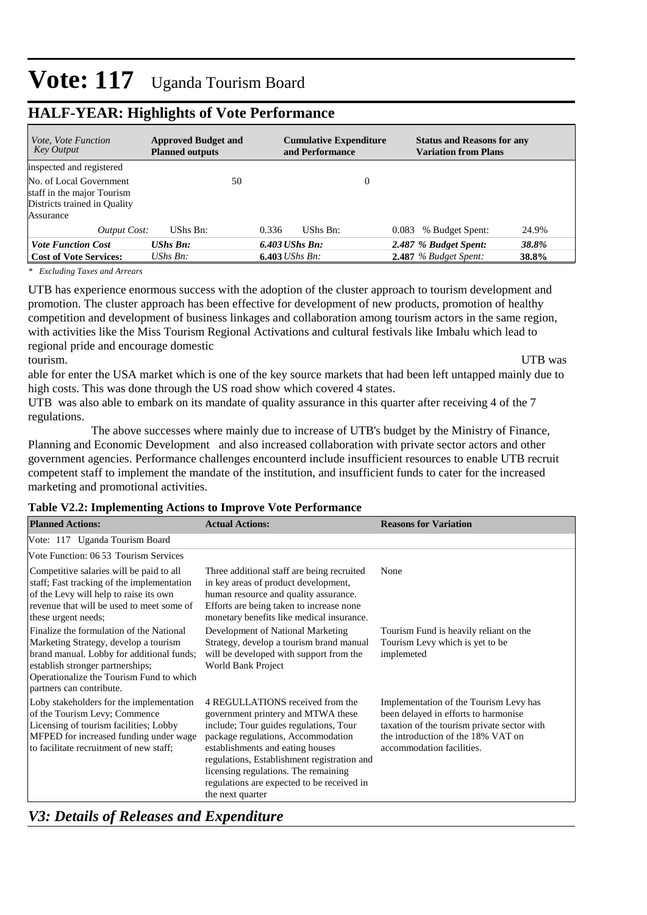| <i>Vote, Vote Function</i><br>Key Output                                                           | <b>Approved Budget and</b><br><b>Planned outputs</b> |    |                              | <b>Cumulative Expenditure</b><br>and Performance |          |       | <b>Status and Reasons for any</b><br><b>Variation from Plans</b> |       |
|----------------------------------------------------------------------------------------------------|------------------------------------------------------|----|------------------------------|--------------------------------------------------|----------|-------|------------------------------------------------------------------|-------|
| inspected and registered                                                                           |                                                      |    |                              |                                                  |          |       |                                                                  |       |
| No. of Local Government<br>staff in the major Tourism<br>Districts trained in Quality<br>Assurance |                                                      | 50 |                              |                                                  | $\theta$ |       |                                                                  |       |
| Output Cost:                                                                                       | UShs Bn:                                             |    | 0.336                        | UShs Bn:                                         |          | 0.083 | % Budget Spent:                                                  | 24.9% |
| <b>Vote Function Cost</b>                                                                          | <b>UShs Bn:</b>                                      |    | $6.403$ UShs Bn:             |                                                  |          |       | 2.487 % Budget Spent:                                            | 38.8% |
| <b>Cost of Vote Services:</b>                                                                      | UShs $B_n$ :                                         |    | <b>6.403</b> <i>UShs Bn:</i> |                                                  |          |       | $2.487$ % Budget Spent:                                          | 38.8% |

## **HALF-YEAR: Highlights of Vote Performance**

*\* Excluding Taxes and Arrears*

UTB has experience enormous success with the adoption of the cluster approach to tourism development and promotion. The cluster approach has been effective for development of new products, promotion of healthy competition and development of business linkages and collaboration among tourism actors in the same region, with activities like the Miss Tourism Regional Activations and cultural festivals like Imbalu which lead to regional pride and encourage domestic

tourism. UTB was

able for enter the USA market which is one of the key source markets that had been left untapped mainly due to high costs. This was done through the US road show which covered 4 states.

UTB was also able to embark on its mandate of quality assurance in this quarter after receiving 4 of the 7 regulations.

 The above successes where mainly due to increase of UTB's budget by the Ministry of Finance, Planning and Economic Development and also increased collaboration with private sector actors and other government agencies. Performance challenges encounterd include insufficient resources to enable UTB recruit competent staff to implement the mandate of the institution, and insufficient funds to cater for the increased marketing and promotional activities.

### **Table V2.2: Implementing Actions to Improve Vote Performance**

| <b>Planned Actions:</b>                                                                                                                                                                                                                    | <b>Actual Actions:</b>                                                                                                                                                                                                                                                                                                                              | <b>Reasons for Variation</b>                                                                                                                                                                     |
|--------------------------------------------------------------------------------------------------------------------------------------------------------------------------------------------------------------------------------------------|-----------------------------------------------------------------------------------------------------------------------------------------------------------------------------------------------------------------------------------------------------------------------------------------------------------------------------------------------------|--------------------------------------------------------------------------------------------------------------------------------------------------------------------------------------------------|
| Vote: 117 Uganda Tourism Board                                                                                                                                                                                                             |                                                                                                                                                                                                                                                                                                                                                     |                                                                                                                                                                                                  |
| Vote Function: 06 53 Tourism Services                                                                                                                                                                                                      |                                                                                                                                                                                                                                                                                                                                                     |                                                                                                                                                                                                  |
| Competitive salaries will be paid to all<br>staff; Fast tracking of the implementation<br>of the Levy will help to raise its own<br>revenue that will be used to meet some of<br>these urgent needs;                                       | Three additional staff are being recruited<br>in key areas of product development,<br>human resource and quality assurance.<br>Efforts are being taken to increase none<br>monetary benefits like medical insurance.                                                                                                                                | None                                                                                                                                                                                             |
| Finalize the formulation of the National<br>Marketing Strategy, develop a tourism<br>brand manual. Lobby for additional funds;<br>establish stronger partnerships;<br>Operationalize the Tourism Fund to which<br>partners can contribute. | Development of National Marketing<br>Strategy, develop a tourism brand manual<br>will be developed with support from the<br>World Bank Project                                                                                                                                                                                                      | Tourism Fund is heavily reliant on the<br>Tourism Levy which is yet to be<br>implemeted                                                                                                          |
| Loby stakeholders for the implementation<br>of the Tourism Levy; Commence<br>Licensing of tourism facilities; Lobby<br>MFPED for increased funding under wage<br>to facilitate recruitment of new staff;                                   | 4 REGULLATIONS received from the<br>government printery and MTWA these<br>include; Tour guides regulations, Tour<br>package regulations, Accommodation<br>establishments and eating houses<br>regulations, Establishment registration and<br>licensing regulations. The remaining<br>regulations are expected to be received in<br>the next quarter | Implementation of the Tourism Levy has<br>been delayed in efforts to harmonise<br>taxation of the tourism private sector with<br>the introduction of the 18% VAT on<br>accommodation facilities. |

### *V3: Details of Releases and Expenditure*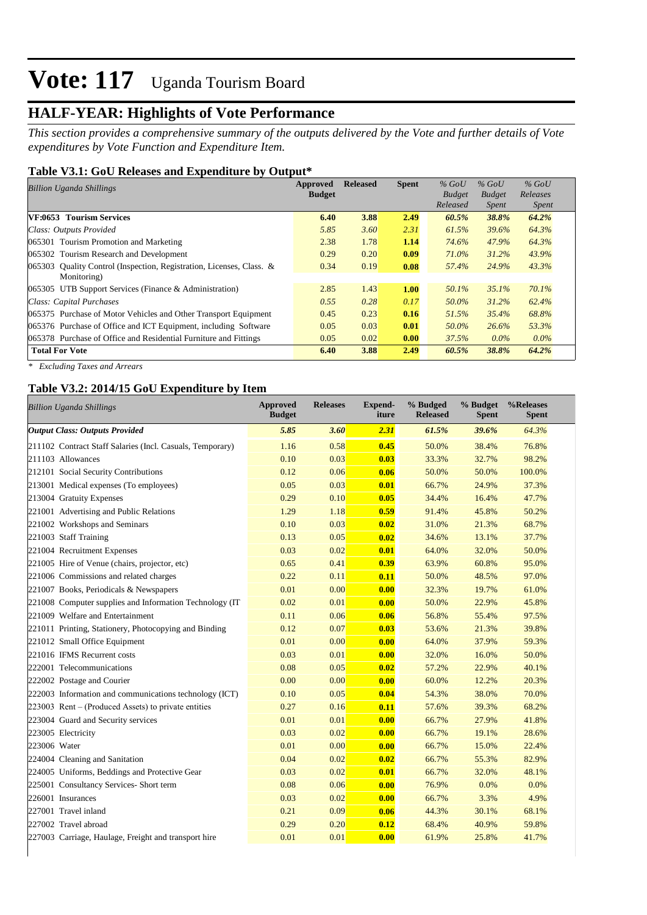## **HALF-YEAR: Highlights of Vote Performance**

*This section provides a comprehensive summary of the outputs delivered by the Vote and further details of Vote expenditures by Vote Function and Expenditure Item.*

### **Table V3.1: GoU Releases and Expenditure by Output\***

| Billion Uganda Shillings                                             | Approved      | <b>Released</b> | <b>Spent</b> | $%$ GoU       | $%$ GoU       | $%$ GoU      |  |
|----------------------------------------------------------------------|---------------|-----------------|--------------|---------------|---------------|--------------|--|
|                                                                      | <b>Budget</b> |                 |              | <b>Budget</b> | <b>Budget</b> | Releases     |  |
|                                                                      |               |                 |              | Released      | <b>Spent</b>  | <i>Spent</i> |  |
| <b>VF:0653 Tourism Services</b>                                      | 6.40          | 3.88            | 2.49         | 60.5%         | 38.8%         | 64.2%        |  |
| Class: Outputs Provided                                              | 5.85          | 3.60            | 2.31         | 61.5%         | 39.6%         | 64.3%        |  |
| 065301 Tourism Promotion and Marketing                               | 2.38          | 1.78            | 1.14         | 74.6%         | 47.9%         | 64.3%        |  |
| 065302 Tourism Research and Development                              | 0.29          | 0.20            | 0.09         | 71.0%         | 31.2%         | 43.9%        |  |
| 065303 Quality Control (Inspection, Registration, Licenses, Class. & | 0.34          | 0.19            | 0.08         | 57.4%         | 24.9%         | 43.3%        |  |
| Monitoring)                                                          |               |                 |              |               |               |              |  |
| $065305$ UTB Support Services (Finance & Administration)             | 2.85          | 1.43            | <b>1.00</b>  | 50.1%         | 35.1%         | 70.1%        |  |
| Class: Capital Purchases                                             | 0.55          | 0.28            | 0.17         | 50.0%         | 31.2%         | 62.4%        |  |
| 065375 Purchase of Motor Vehicles and Other Transport Equipment      | 0.45          | 0.23            | 0.16         | 51.5%         | 35.4%         | 68.8%        |  |
| 065376 Purchase of Office and ICT Equipment, including Software      | 0.05          | 0.03            | 0.01         | 50.0%         | 26.6%         | 53.3%        |  |
| 065378 Purchase of Office and Residential Furniture and Fittings     | 0.05          | 0.02            | 0.00         | 37.5%         | $0.0\%$       | $0.0\%$      |  |
| <b>Total For Vote</b>                                                | 6.40          | 3.88            | 2.49         | 60.5%         | 38.8%         | 64.2%        |  |

*\* Excluding Taxes and Arrears*

 $\overline{\phantom{a}}$ 

### **Table V3.2: 2014/15 GoU Expenditure by Item**

| <b>Billion Uganda Shillings</b>                           | <b>Approved</b><br><b>Budget</b> | <b>Releases</b> | <b>Expend-</b><br>iture | % Budged<br><b>Released</b> | % Budget<br><b>Spent</b> | %Releases<br><b>Spent</b> |
|-----------------------------------------------------------|----------------------------------|-----------------|-------------------------|-----------------------------|--------------------------|---------------------------|
| <b>Output Class: Outputs Provided</b>                     | 5.85                             | 3.60            | 2.31                    | 61.5%                       | 39.6%                    | 64.3%                     |
| 211102 Contract Staff Salaries (Incl. Casuals, Temporary) | 1.16                             | 0.58            | 0.45                    | 50.0%                       | 38.4%                    | 76.8%                     |
| 211103 Allowances                                         | 0.10                             | 0.03            | 0.03                    | 33.3%                       | 32.7%                    | 98.2%                     |
| 212101 Social Security Contributions                      | 0.12                             | 0.06            | 0.06                    | 50.0%                       | 50.0%                    | 100.0%                    |
| 213001 Medical expenses (To employees)                    | 0.05                             | 0.03            | 0.01                    | 66.7%                       | 24.9%                    | 37.3%                     |
| 213004 Gratuity Expenses                                  | 0.29                             | 0.10            | 0.05                    | 34.4%                       | 16.4%                    | 47.7%                     |
| 221001 Advertising and Public Relations                   | 1.29                             | 1.18            | 0.59                    | 91.4%                       | 45.8%                    | 50.2%                     |
| 221002 Workshops and Seminars                             | 0.10                             | 0.03            | 0.02                    | 31.0%                       | 21.3%                    | 68.7%                     |
| 221003 Staff Training                                     | 0.13                             | 0.05            | 0.02                    | 34.6%                       | 13.1%                    | 37.7%                     |
| 221004 Recruitment Expenses                               | 0.03                             | 0.02            | 0.01                    | 64.0%                       | 32.0%                    | 50.0%                     |
| 221005 Hire of Venue (chairs, projector, etc)             | 0.65                             | 0.41            | 0.39                    | 63.9%                       | 60.8%                    | 95.0%                     |
| 221006 Commissions and related charges                    | 0.22                             | 0.11            | 0.11                    | 50.0%                       | 48.5%                    | 97.0%                     |
| 221007 Books, Periodicals & Newspapers                    | 0.01                             | 0.00            | 0.00                    | 32.3%                       | 19.7%                    | 61.0%                     |
| 221008 Computer supplies and Information Technology (IT)  | 0.02                             | 0.01            | 0.00                    | 50.0%                       | 22.9%                    | 45.8%                     |
| 221009 Welfare and Entertainment                          | 0.11                             | 0.06            | 0.06                    | 56.8%                       | 55.4%                    | 97.5%                     |
| 221011 Printing, Stationery, Photocopying and Binding     | 0.12                             | 0.07            | 0.03                    | 53.6%                       | 21.3%                    | 39.8%                     |
| 221012 Small Office Equipment                             | 0.01                             | 0.00            | 0.00                    | 64.0%                       | 37.9%                    | 59.3%                     |
| 221016 IFMS Recurrent costs                               | 0.03                             | 0.01            | 0.00                    | 32.0%                       | 16.0%                    | 50.0%                     |
| 222001 Telecommunications                                 | 0.08                             | 0.05            | 0.02                    | 57.2%                       | 22.9%                    | 40.1%                     |
| 222002 Postage and Courier                                | 0.00                             | 0.00            | 0.00                    | 60.0%                       | 12.2%                    | 20.3%                     |
| 222003 Information and communications technology (ICT)    | 0.10                             | 0.05            | 0.04                    | 54.3%                       | 38.0%                    | 70.0%                     |
| 223003 Rent – (Produced Assets) to private entities       | 0.27                             | 0.16            | 0.11                    | 57.6%                       | 39.3%                    | 68.2%                     |
| 223004 Guard and Security services                        | 0.01                             | 0.01            | 0.00                    | 66.7%                       | 27.9%                    | 41.8%                     |
| 223005 Electricity                                        | 0.03                             | 0.02            | 0.00                    | 66.7%                       | 19.1%                    | 28.6%                     |
| 223006 Water                                              | 0.01                             | 0.00            | 0.00                    | 66.7%                       | 15.0%                    | 22.4%                     |
| 224004 Cleaning and Sanitation                            | 0.04                             | 0.02            | 0.02                    | 66.7%                       | 55.3%                    | 82.9%                     |
| 224005 Uniforms, Beddings and Protective Gear             | 0.03                             | 0.02            | 0.01                    | 66.7%                       | 32.0%                    | 48.1%                     |
| 225001 Consultancy Services- Short term                   | 0.08                             | 0.06            | 0.00                    | 76.9%                       | 0.0%                     | 0.0%                      |
| 226001 Insurances                                         | 0.03                             | 0.02            | 0.00                    | 66.7%                       | 3.3%                     | 4.9%                      |
| 227001 Travel inland                                      | 0.21                             | 0.09            | 0.06                    | 44.3%                       | 30.1%                    | 68.1%                     |
| 227002 Travel abroad                                      | 0.29                             | 0.20            | 0.12                    | 68.4%                       | 40.9%                    | 59.8%                     |
| 227003 Carriage, Haulage, Freight and transport hire      | 0.01                             | 0.01            | 0.00                    | 61.9%                       | 25.8%                    | 41.7%                     |